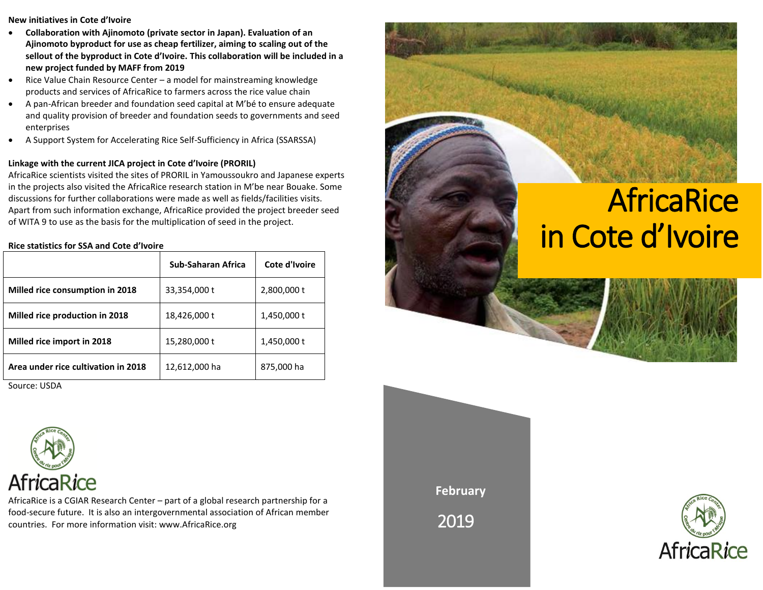#### **New initiatives in Cote d'Ivoire**

- **Collaboration with Ajinomoto (private sector in Japan). Evaluation of an Ajinomoto byproduct for use as cheap fertilizer, aiming to scaling out of the sellout of the byproduct in Cote d'Ivoire. This collaboration will be included in a new project funded by MAFF from 2019**
- Rice Value Chain Resource Center a model for mainstreaming knowledge products and services of AfricaRice to farmers across the rice value chain
- A pan-African breeder and foundation seed capital at M'bé to ensure adequate and quality provision of breeder and foundation seeds to governments and seed enterprises
- A Support System for Accelerating Rice Self-Sufficiency in Africa (SSARSSA)

## **Linkage with the current JICA project in Cote d'Ivoire (PRORIL)**

AfricaRice scientists visited the sites of PRORIL in Yamoussoukro and Japanese experts in the projects also visited the AfricaRice research station in M'be near Bouake. Some discussions for further collaborations were made as well as fields/facilities visits. Apart from such information exchange, AfricaRice provided the project breeder seed of WITA 9 to use as the basis for the multiplication of seed in the project.

### **Rice statistics for SSA and Cote d'Ivoire**

|                                     | Sub-Saharan Africa | Cote d'Ivoire |
|-------------------------------------|--------------------|---------------|
| Milled rice consumption in 2018     | 33,354,000 t       | 2,800,000 t   |
| Milled rice production in 2018      | 18,426,000 t       | 1,450,000 t   |
| Milled rice import in 2018          | 15,280,000 t       | 1,450,000 t   |
| Area under rice cultivation in 2018 | 12,612,000 ha      | 875,000 ha    |

Source: USDA



AfricaRice is a CGIAR Research Center – part of a global research partnership for a food-secure future. It is also an intergovernmental association of African member countries. For more information visit: www.AfricaRice.org



**February**

2019